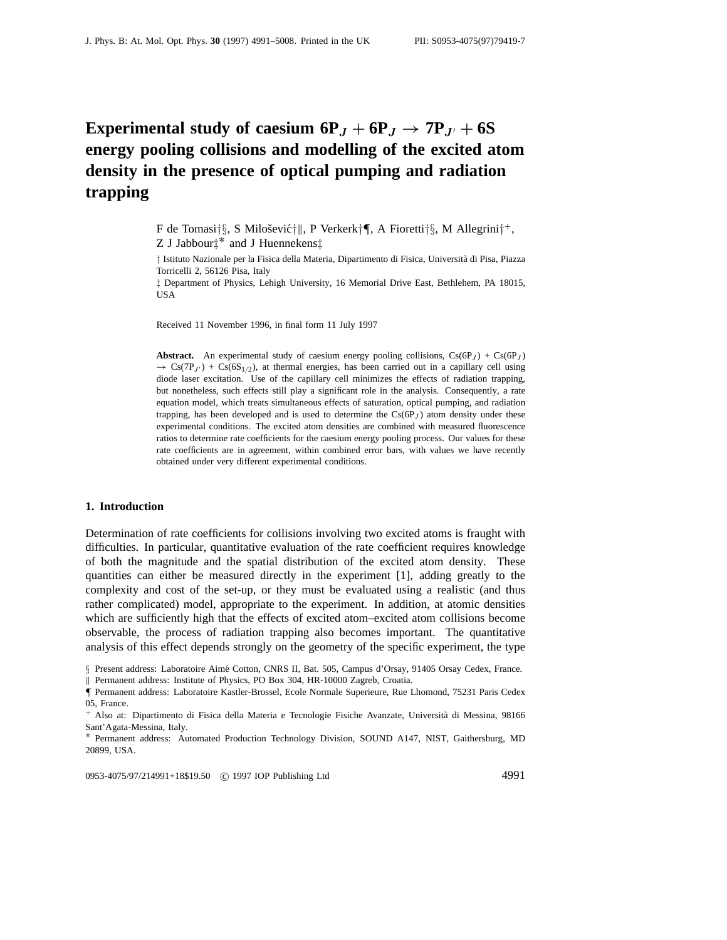# **Experimental study of caesium**  $\mathbf{6P}_J + \mathbf{6P}_J \rightarrow \mathbf{7P}_{J'} + \mathbf{6S}$ **energy pooling collisions and modelling of the excited atom density in the presence of optical pumping and radiation trapping**

F de Tomasi†§, S Milošević†∥, P Verkerk†¶, A Fioretti†§, M Allegrini†<sup>+</sup>, Z J Jabbour*‡*∗ and J Huennekens*‡*

*†* Istituto Nazionale per la Fisica della Materia, Dipartimento di Fisica, Universita di Pisa, Piazza ` Torricelli 2, 56126 Pisa, Italy

*‡* Department of Physics, Lehigh University, 16 Memorial Drive East, Bethlehem, PA 18015, USA

Received 11 November 1996, in final form 11 July 1997

**Abstract.** An experimental study of caesium energy pooling collisions,  $Cs(6P<sub>J</sub>) + Cs(6P<sub>J</sub>)$  $\rightarrow$  Cs(7P<sub>J'</sub>) + Cs(6S<sub>1/2</sub>), at thermal energies, has been carried out in a capillary cell using diode laser excitation. Use of the capillary cell minimizes the effects of radiation trapping, but nonetheless, such effects still play a significant role in the analysis. Consequently, a rate equation model, which treats simultaneous effects of saturation, optical pumping, and radiation trapping, has been developed and is used to determine the  $Cs(6P<sub>J</sub>)$  atom density under these experimental conditions. The excited atom densities are combined with measured fluorescence ratios to determine rate coefficients for the caesium energy pooling process. Our values for these rate coefficients are in agreement, within combined error bars, with values we have recently obtained under very different experimental conditions.

#### **1. Introduction**

Determination of rate coefficients for collisions involving two excited atoms is fraught with difficulties. In particular, quantitative evaluation of the rate coefficient requires knowledge of both the magnitude and the spatial distribution of the excited atom density. These quantities can either be measured directly in the experiment [1], adding greatly to the complexity and cost of the set-up, or they must be evaluated using a realistic (and thus rather complicated) model, appropriate to the experiment. In addition, at atomic densities which are sufficiently high that the effects of excited atom–excited atom collisions become observable, the process of radiation trapping also becomes important. The quantitative analysis of this effect depends strongly on the geometry of the specific experiment, the type

0953-4075/97/214991+18\$19.50 © 1997 IOP Publishing Ltd 4991

*<sup>§</sup>* Present address: Laboratoire Aime Cotton, CNRS II, Bat. 505, Campus d'Orsay, 91405 Orsay Cedex, France. ´ k Permanent address: Institute of Physics, PO Box 304, HR-10000 Zagreb, Croatia.

*<sup>¶</sup>* Permanent address: Laboratoire Kastler-Brossel, Ecole Normale Superieure, Rue Lhomond, 75231 Paris Cedex 05, France.

<sup>+</sup> Also at: Dipartimento di Fisica della Materia e Tecnologie Fisiche Avanzate, Universita di Messina, 98166 ` Sant'Agata-Messina, Italy.

<sup>∗</sup> Permanent address: Automated Production Technology Division, SOUND A147, NIST, Gaithersburg, MD 20899, USA.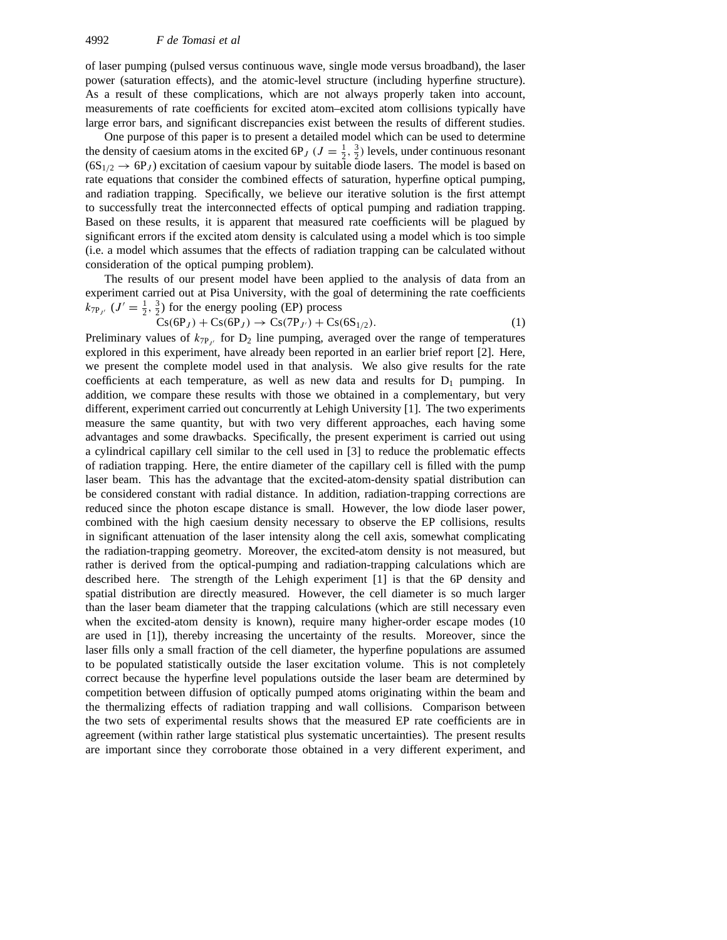of laser pumping (pulsed versus continuous wave, single mode versus broadband), the laser power (saturation effects), and the atomic-level structure (including hyperfine structure). As a result of these complications, which are not always properly taken into account, measurements of rate coefficients for excited atom–excited atom collisions typically have large error bars, and significant discrepancies exist between the results of different studies.

One purpose of this paper is to present a detailed model which can be used to determine the density of caesium atoms in the excited  $6P_J$   $(J = \frac{1}{2}, \frac{3}{2})$  levels, under continuous resonant  $(6S<sub>1/2</sub> \rightarrow 6P<sub>J</sub>)$  excitation of caesium vapour by suitable diode lasers. The model is based on rate equations that consider the combined effects of saturation, hyperfine optical pumping, and radiation trapping. Specifically, we believe our iterative solution is the first attempt to successfully treat the interconnected effects of optical pumping and radiation trapping. Based on these results, it is apparent that measured rate coefficients will be plagued by significant errors if the excited atom density is calculated using a model which is too simple (i.e. a model which assumes that the effects of radiation trapping can be calculated without consideration of the optical pumping problem).

The results of our present model have been applied to the analysis of data from an experiment carried out at Pisa University, with the goal of determining the rate coefficients  $k_{7P_{J'}}$  ( $J' = \frac{1}{2}, \frac{3}{2}$ ) for the energy pooling (EP) process

$$
Cs(6PJ) + Cs(6PJ) \to Cs(7PJ') + Cs(6S1/2).
$$
 (1)

Preliminary values of  $k_{7P_J}$  for  $D_2$  line pumping, averaged over the range of temperatures explored in this experiment, have already been reported in an earlier brief report [2]. Here, we present the complete model used in that analysis. We also give results for the rate coefficients at each temperature, as well as new data and results for  $D_1$  pumping. In addition, we compare these results with those we obtained in a complementary, but very different, experiment carried out concurrently at Lehigh University [1]. The two experiments measure the same quantity, but with two very different approaches, each having some advantages and some drawbacks. Specifically, the present experiment is carried out using a cylindrical capillary cell similar to the cell used in [3] to reduce the problematic effects of radiation trapping. Here, the entire diameter of the capillary cell is filled with the pump laser beam. This has the advantage that the excited-atom-density spatial distribution can be considered constant with radial distance. In addition, radiation-trapping corrections are reduced since the photon escape distance is small. However, the low diode laser power, combined with the high caesium density necessary to observe the EP collisions, results in significant attenuation of the laser intensity along the cell axis, somewhat complicating the radiation-trapping geometry. Moreover, the excited-atom density is not measured, but rather is derived from the optical-pumping and radiation-trapping calculations which are described here. The strength of the Lehigh experiment [1] is that the 6P density and spatial distribution are directly measured. However, the cell diameter is so much larger than the laser beam diameter that the trapping calculations (which are still necessary even when the excited-atom density is known), require many higher-order escape modes (10 are used in [1]), thereby increasing the uncertainty of the results. Moreover, since the laser fills only a small fraction of the cell diameter, the hyperfine populations are assumed to be populated statistically outside the laser excitation volume. This is not completely correct because the hyperfine level populations outside the laser beam are determined by competition between diffusion of optically pumped atoms originating within the beam and the thermalizing effects of radiation trapping and wall collisions. Comparison between the two sets of experimental results shows that the measured EP rate coefficients are in agreement (within rather large statistical plus systematic uncertainties). The present results are important since they corroborate those obtained in a very different experiment, and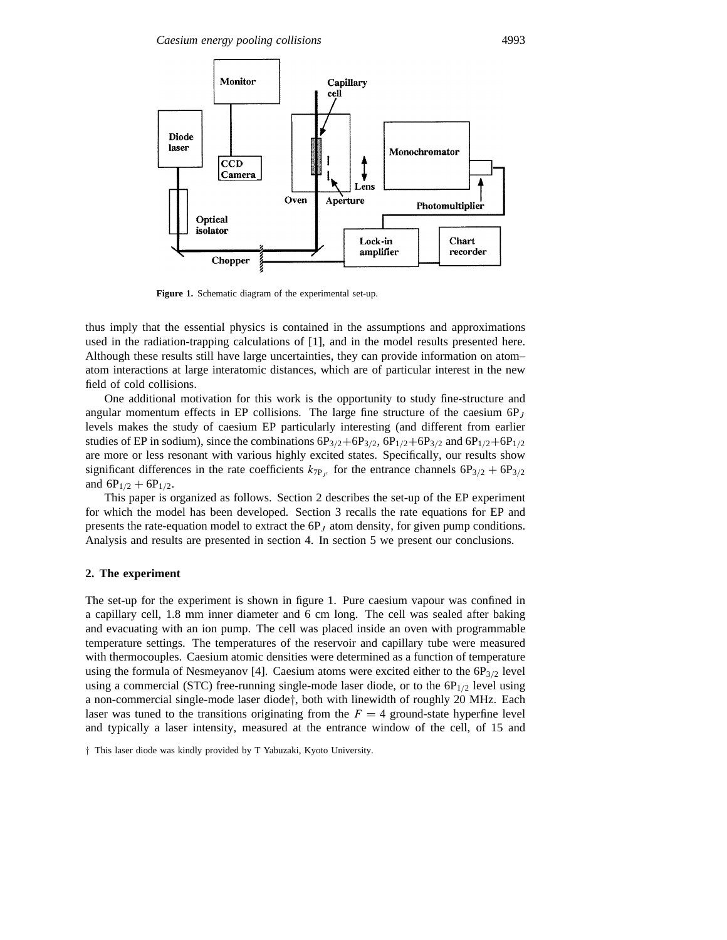

**Figure 1.** Schematic diagram of the experimental set-up.

thus imply that the essential physics is contained in the assumptions and approximations used in the radiation-trapping calculations of [1], and in the model results presented here. Although these results still have large uncertainties, they can provide information on atom– atom interactions at large interatomic distances, which are of particular interest in the new field of cold collisions.

One additional motivation for this work is the opportunity to study fine-structure and angular momentum effects in EP collisions. The large fine structure of the caesium  $6P_J$ levels makes the study of caesium EP particularly interesting (and different from earlier studies of EP in sodium), since the combinations  $6P_{3/2}+6P_{3/2}$ ,  $6P_{1/2}+6P_{3/2}$  and  $6P_{1/2}+6P_{1/2}$ are more or less resonant with various highly excited states. Specifically, our results show significant differences in the rate coefficients  $k_{7P}$  for the entrance channels  $6P_{3/2} + 6P_{3/2}$ and  $6P_{1/2} + 6P_{1/2}$ .

This paper is organized as follows. Section 2 describes the set-up of the EP experiment for which the model has been developed. Section 3 recalls the rate equations for EP and presents the rate-equation model to extract the  $6P_J$  atom density, for given pump conditions. Analysis and results are presented in section 4. In section 5 we present our conclusions.

#### **2. The experiment**

The set-up for the experiment is shown in figure 1. Pure caesium vapour was confined in a capillary cell, 1.8 mm inner diameter and 6 cm long. The cell was sealed after baking and evacuating with an ion pump. The cell was placed inside an oven with programmable temperature settings. The temperatures of the reservoir and capillary tube were measured with thermocouples. Caesium atomic densities were determined as a function of temperature using the formula of Nesmeyanov [4]. Caesium atoms were excited either to the  $6P_{3/2}$  level using a commercial (STC) free-running single-mode laser diode, or to the  $6P_{1/2}$  level using a non-commercial single-mode laser diode*†*, both with linewidth of roughly 20 MHz. Each laser was tuned to the transitions originating from the  $F = 4$  ground-state hyperfine level and typically a laser intensity, measured at the entrance window of the cell, of 15 and

*†* This laser diode was kindly provided by T Yabuzaki, Kyoto University.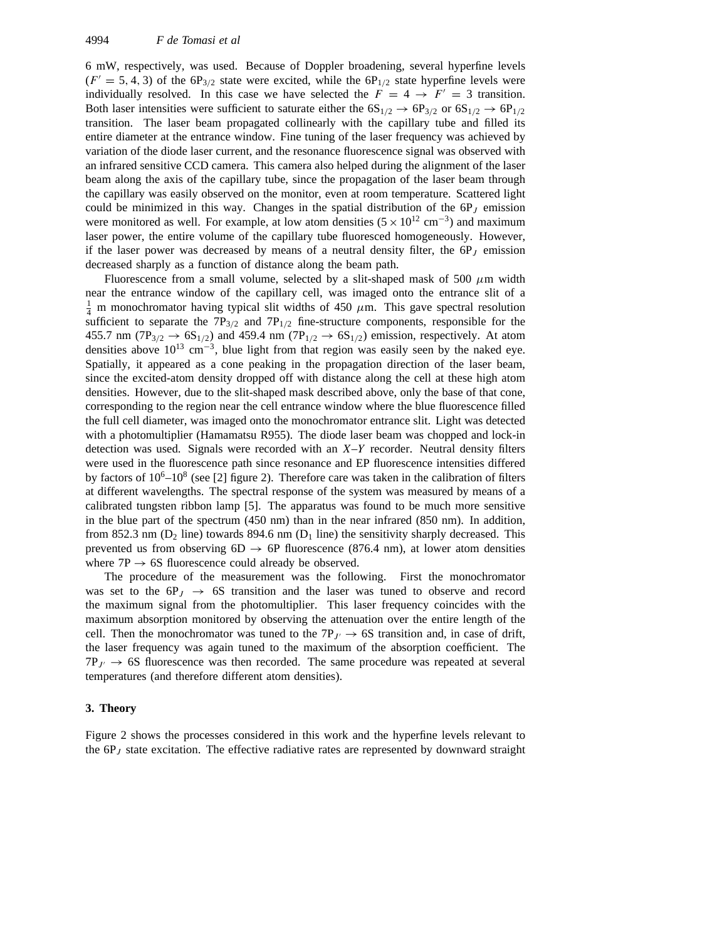6 mW, respectively, was used. Because of Doppler broadening, several hyperfine levels  $(F' = 5, 4, 3)$  of the 6P<sub>3</sub>/<sub>2</sub> state were excited, while the 6P<sub>1/2</sub> state hyperfine levels were individually resolved. In this case we have selected the  $F = 4 \rightarrow F' = 3$  transition. Both laser intensities were sufficient to saturate either the  $6S_{1/2} \rightarrow 6P_{3/2}$  or  $6S_{1/2} \rightarrow 6P_{1/2}$ transition. The laser beam propagated collinearly with the capillary tube and filled its entire diameter at the entrance window. Fine tuning of the laser frequency was achieved by variation of the diode laser current, and the resonance fluorescence signal was observed with an infrared sensitive CCD camera. This camera also helped during the alignment of the laser beam along the axis of the capillary tube, since the propagation of the laser beam through the capillary was easily observed on the monitor, even at room temperature. Scattered light could be minimized in this way. Changes in the spatial distribution of the  $6P<sub>J</sub>$  emission were monitored as well. For example, at low atom densities ( $5 \times 10^{12}$  cm<sup>-3</sup>) and maximum laser power, the entire volume of the capillary tube fluoresced homogeneously. However, if the laser power was decreased by means of a neutral density filter, the  $6P_J$  emission decreased sharply as a function of distance along the beam path.

Fluorescence from a small volume, selected by a slit-shaped mask of 500 *µ*m width near the entrance window of the capillary cell, was imaged onto the entrance slit of a  $\frac{1}{4}$  m monochromator having typical slit widths of 450  $\mu$ m. This gave spectral resolution sufficient to separate the  $7P_{3/2}$  and  $7P_{1/2}$  fine-structure components, responsible for the 455.7 nm ( $7P_{3/2} \rightarrow 6S_{1/2}$ ) and 459.4 nm ( $7P_{1/2} \rightarrow 6S_{1/2}$ ) emission, respectively. At atom densities above  $10^{13}$  cm<sup>-3</sup>, blue light from that region was easily seen by the naked eye. Spatially, it appeared as a cone peaking in the propagation direction of the laser beam, since the excited-atom density dropped off with distance along the cell at these high atom densities. However, due to the slit-shaped mask described above, only the base of that cone, corresponding to the region near the cell entrance window where the blue fluorescence filled the full cell diameter, was imaged onto the monochromator entrance slit. Light was detected with a photomultiplier (Hamamatsu R955). The diode laser beam was chopped and lock-in detection was used. Signals were recorded with an *X*–*Y* recorder. Neutral density filters were used in the fluorescence path since resonance and EP fluorescence intensities differed by factors of  $10^6$ – $10^8$  (see [2] figure 2). Therefore care was taken in the calibration of filters at different wavelengths. The spectral response of the system was measured by means of a calibrated tungsten ribbon lamp [5]. The apparatus was found to be much more sensitive in the blue part of the spectrum (450 nm) than in the near infrared (850 nm). In addition, from 852.3 nm  $(D_2$  line) towards 894.6 nm  $(D_1)$  line) the sensitivity sharply decreased. This prevented us from observing  $6D \rightarrow 6P$  fluorescence (876.4 nm), at lower atom densities where  $7P \rightarrow 6S$  fluorescence could already be observed.

The procedure of the measurement was the following. First the monochromator was set to the  $6P_J \rightarrow 6S$  transition and the laser was tuned to observe and record the maximum signal from the photomultiplier. This laser frequency coincides with the maximum absorption monitored by observing the attenuation over the entire length of the cell. Then the monochromator was tuned to the  $7P_{J'} \rightarrow 6S$  transition and, in case of drift, the laser frequency was again tuned to the maximum of the absorption coefficient. The  $7P_{J'} \rightarrow 6S$  fluorescence was then recorded. The same procedure was repeated at several temperatures (and therefore different atom densities).

#### **3. Theory**

Figure 2 shows the processes considered in this work and the hyperfine levels relevant to the  $6P_J$  state excitation. The effective radiative rates are represented by downward straight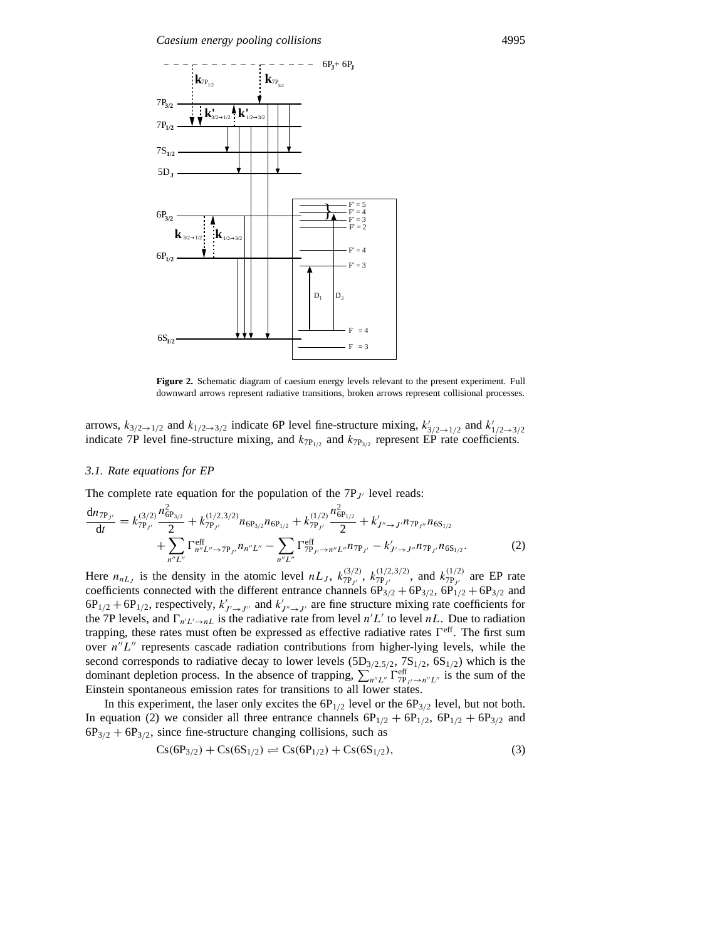

**Figure 2.** Schematic diagram of caesium energy levels relevant to the present experiment. Full downward arrows represent radiative transitions, broken arrows represent collisional processes.

arrows,  $k_{3/2 \to 1/2}$  and  $k_{1/2 \to 3/2}$  indicate 6P level fine-structure mixing,  $k'_{3/2 \to 1/2}$  and  $k'_{1/2 \to 3/2}$ <br>indicate 7P level fine-structure mixing, and  $k_{7P_{1/2}}$  and  $k_{7P_{3/2}}$  represent EP rate coefficient

## *3.1. Rate equations for EP*

The complete rate equation for the population of the  $7P_J$  level reads:

$$
\frac{dn_{7P_{J'}}}{dt} = k_{7P_{J'}}^{(3/2)} \frac{n_{6P_{3/2}}^2}{2} + k_{7P_{J'}}^{(1/2,3/2)} n_{6P_{3/2}} n_{6P_{1/2}} + k_{7P_{J'}}^{(1/2)} \frac{n_{6P_{1/2}}^2}{2} + k_{J'' \to J'}^{\prime} n_{7P_{J''}} n_{6S_{1/2}} + \sum_{n''L''} \Gamma_{n''L'' \to 7P_{J'}}^{\text{eff}} n_{n''L''} - \sum_{n''L''} \Gamma_{7P_{J'} \to n''L''}^{\text{eff}} n_{7P_{J'}} - k_{J' \to J''}^{\prime} n_{7P_{J'}} n_{6S_{1/2}}.
$$
\n(2)

Here  $n_{nL_j}$  is the density in the atomic level  $nL_j$ ,  $k_{7P_{j'}}^{(3/2)}$ ,  $k_{7P_{j'}}^{(1/2,3/2)}$ , and  $k_{7P_{j'}}^{(1/2)}$  are EP rate coefficients connected with the different entrance channels  $6P_{3/2} + 6P_{3/2}$ ,  $6P_{1/2} + 6P_{3/2}$  and  $6P_{1/2} + 6P_{1/2}$ , respectively,  $k'_{J' \rightarrow J''}$  and  $k'_{J'' \rightarrow J'}$  are fine structure mixing rate coefficients for the 7P levels, and  $\Gamma_{n'L' \to nL}$  is the radiative rate from level *n'L'* to level *nL*. Due to radiation trapping, these rates must often be expressed as effective radiative rates  $\Gamma^{\text{eff}}$ . The first sum over  $n''L''$  represents cascade radiation contributions from higher-lying levels, while the second corresponds to radiative decay to lower levels  $(5D_{3/2,5/2}, 7S_{1/2}, 6S_{1/2})$  which is the dominant depletion process. In the absence of trapping,  $\sum_{n''} \Gamma_{7}^{\text{eff}}$   $\Gamma_{7}^{\text{eff}}$  is the sum of the Einstein spontaneous emission rates for transitions to all lower states.

In this experiment, the laser only excites the  $6P_{1/2}$  level or the  $6P_{3/2}$  level, but not both. In equation (2) we consider all three entrance channels  $6P_{1/2} + 6P_{1/2}$ ,  $6P_{1/2} + 6P_{3/2}$  and  $6P_{3/2} + 6P_{3/2}$ , since fine-structure changing collisions, such as

$$
Cs(6P_{3/2}) + Cs(6S_{1/2}) \rightleftharpoons Cs(6P_{1/2}) + Cs(6S_{1/2}),
$$
\n(3)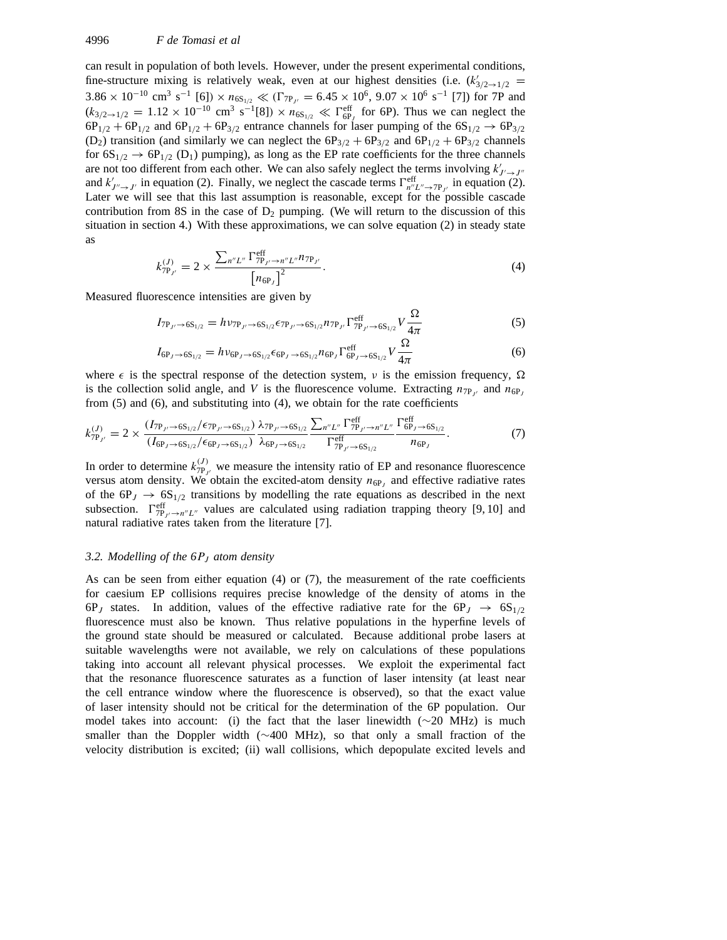can result in population of both levels. However, under the present experimental conditions, fine-structure mixing is relatively weak, even at our highest densities (i.e.  $(k'_{3/2 \rightarrow 1/2}$  =  $3.86 \times 10^{-10}$  cm<sup>3</sup> s<sup>-1</sup> [6]) ×  $n_{6S_{1/2}} \ll (\Gamma_{7P_{J'}} = 6.45 \times 10^6, 9.07 \times 10^6$  s<sup>-1</sup> [7]) for 7P and  $(k_{3/2 \to 1/2} = 1.12 \times 10^{-10} \text{ cm}^3 \text{ s}^{-1} [8]) \times n_{6S_{1/2}} \ll \Gamma_{6P_J}^{\text{eff}}$  for 6P). Thus we can neglect the  $6P_{1/2} + 6P_{1/2}$  and  $6P_{1/2} + 6P_{3/2}$  entrance channels for laser pumping of the  $6S_{1/2} \rightarrow 6P_{3/2}$ (D<sub>2</sub>) transition (and similarly we can neglect the  $6P_{3/2} + 6P_{3/2}$  and  $6P_{1/2} + 6P_{3/2}$  channels for  $6S_{1/2} \rightarrow 6P_{1/2}$  (D<sub>1</sub>) pumping), as long as the EP rate coefficients for the three channels are not too different from each other. We can also safely neglect the terms involving  $k'_{J' \rightarrow J''}$ and  $k'_{J'' \to J'}$  in equation (2). Finally, we neglect the cascade terms  $\Gamma_{n'' L'' \to T P_{J'}}^{\text{eff}}$  in equation (2). Later we will see that this last assumption is reasonable, except for the possible cascade contribution from 8S in the case of  $D_2$  pumping. (We will return to the discussion of this situation in section 4.) With these approximations, we can solve equation (2) in steady state as

$$
k_{7P_{J'}}^{(J)} = 2 \times \frac{\sum_{n''L''} \Gamma_{7P_{J'} \to n''L''}^{\text{eff}} n_{7P_{J'}}}{\left[n_{6P_{J}}\right]^2}.
$$
\n(4)

Measured fluorescence intensities are given by

$$
I_{7P_{J'} \to 6S_{1/2}} = h\nu_{7P_{J'} \to 6S_{1/2}} \epsilon_{7P_{J'} \to 6S_{1/2}} n_{7P_{J'}} \Gamma_{7P_{J'} \to 6S_{1/2}}^{\text{eff}} V \frac{\Omega}{4\pi}
$$
(5)

$$
I_{6P_J \to 6S_{1/2}} = h \nu_{6P_J \to 6S_{1/2}} \epsilon_{6P_J \to 6S_{1/2}} n_{6P_J} \Gamma_{6P_J \to 6S_{1/2}}^{\text{eff}} V \frac{\Omega}{4\pi}
$$
(6)

where  $\epsilon$  is the spectral response of the detection system, *ν* is the emission frequency,  $\Omega$ is the collection solid angle, and *V* is the fluorescence volume. Extracting  $n_{7P}$ , and  $n_{6P}$ from (5) and (6), and substituting into (4), we obtain for the rate coefficients

$$
k_{7P_{J'}}^{(J)} = 2 \times \frac{(I_{7P_{J'} \to 6S_{1/2}}/\epsilon_{7P_{J'} \to 6S_{1/2}})}{(I_{6P_{J} \to 6S_{1/2}}/\epsilon_{6P_{J} \to 6S_{1/2}})} \frac{\lambda_{7P_{J'} \to 6S_{1/2}}}{\lambda_{6P_{J} \to 6S_{1/2}}} \frac{\sum_{n''L''} \Gamma_{7P_{J'} \to n''L''}^{\text{eff}}}{\Gamma_{7P_{J'} \to 6S_{1/2}}^{\text{eff}}} \frac{\Gamma_{6P_{J} \to 6S_{1/2}}^{\text{eff}}}{n_{6P_{J}}}.
$$
\n(7)

In order to determine  $k_{7P_{J'}}^{(J)}$  we measure the intensity ratio of EP and resonance fluorescence versus atom density. We obtain the excited-atom density  $n_{6P_J}$  and effective radiative rates of the  $6P_J \rightarrow 6S_{1/2}$  transitions by modelling the rate equations as described in the next subsection.  $\Gamma_{7P_{J'} \to n''L''}^{\text{eff}}$  values are calculated using radiation trapping theory [9, 10] and natural radiative rates taken from the literature [7].

## *3.2. Modelling of the 6PJ atom density*

As can be seen from either equation (4) or (7), the measurement of the rate coefficients for caesium EP collisions requires precise knowledge of the density of atoms in the  $6P_J$  states. In addition, values of the effective radiative rate for the  $6P_J \rightarrow 6S_{1/2}$ fluorescence must also be known. Thus relative populations in the hyperfine levels of the ground state should be measured or calculated. Because additional probe lasers at suitable wavelengths were not available, we rely on calculations of these populations taking into account all relevant physical processes. We exploit the experimental fact that the resonance fluorescence saturates as a function of laser intensity (at least near the cell entrance window where the fluorescence is observed), so that the exact value of laser intensity should not be critical for the determination of the 6P population. Our model takes into account: (i) the fact that the laser linewidth ( $\sim$ 20 MHz) is much smaller than the Doppler width (∼400 MHz), so that only a small fraction of the velocity distribution is excited; (ii) wall collisions, which depopulate excited levels and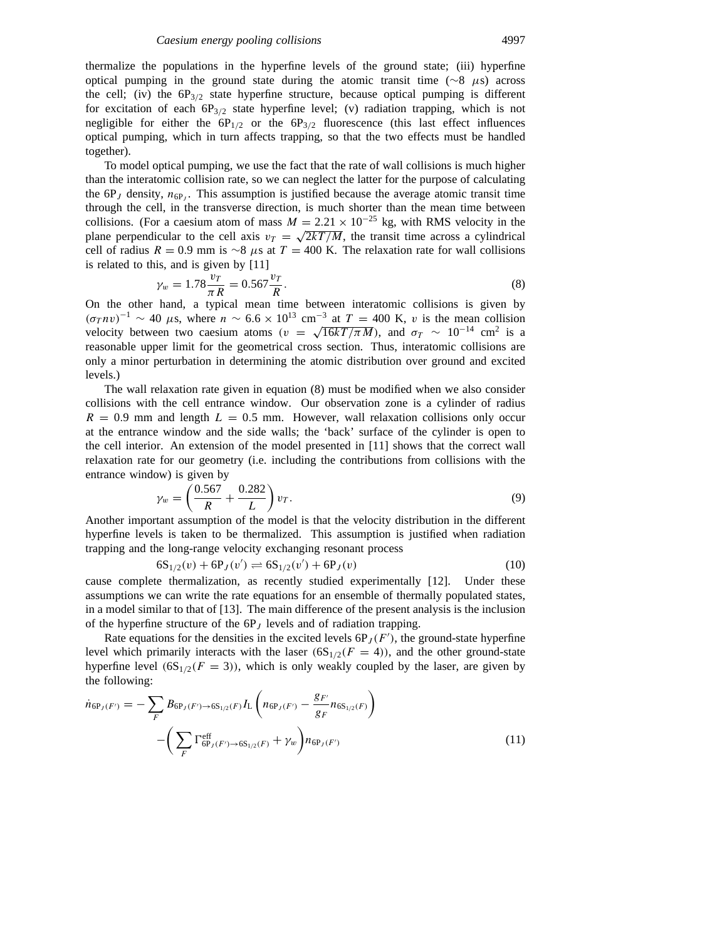thermalize the populations in the hyperfine levels of the ground state; (iii) hyperfine optical pumping in the ground state during the atomic transit time (∼8 *µ*s) across the cell; (iv) the  $6P_{3/2}$  state hyperfine structure, because optical pumping is different for excitation of each  $6P_{3/2}$  state hyperfine level; (v) radiation trapping, which is not negligible for either the  $6P_{1/2}$  or the  $6P_{3/2}$  fluorescence (this last effect influences optical pumping, which in turn affects trapping, so that the two effects must be handled together).

To model optical pumping, we use the fact that the rate of wall collisions is much higher than the interatomic collision rate, so we can neglect the latter for the purpose of calculating the  $6P_J$  density,  $n_{6P_J}$ . This assumption is justified because the average atomic transit time through the cell, in the transverse direction, is much shorter than the mean time between collisions. (For a caesium atom of mass  $M = 2.21 \times 10^{-25}$  kg, with RMS velocity in the plane perpendicular to the cell axis  $v_T = \sqrt{2kT/M}$ , the transit time across a cylindrical cell of radius  $R = 0.9$  mm is ∼8  $\mu$ s at  $T = 400$  K. The relaxation rate for wall collisions is related to this, and is given by [11]

$$
\gamma_w = 1.78 \frac{v_T}{\pi R} = 0.567 \frac{v_T}{R}.
$$
\n(8)

On the other hand, a typical mean time between interatomic collisions is given by  $(\sigma_T n v)^{-1} \sim 40 \mu s$ , where  $n \sim 6.6 \times 10^{13}$  cm<sup>-3</sup> at  $T = 400$  K, *v* is the mean collision velocity between two caesium atoms  $(v = \sqrt{16kT/\pi M})$ , and  $\sigma_T \sim 10^{-14}$  cm<sup>2</sup> is a reasonable upper limit for the geometrical cross section. Thus, interatomic collisions are only a minor perturbation in determining the atomic distribution over ground and excited levels.)

The wall relaxation rate given in equation (8) must be modified when we also consider collisions with the cell entrance window. Our observation zone is a cylinder of radius  $R = 0.9$  mm and length  $L = 0.5$  mm. However, wall relaxation collisions only occur at the entrance window and the side walls; the 'back' surface of the cylinder is open to the cell interior. An extension of the model presented in [11] shows that the correct wall relaxation rate for our geometry (i.e. including the contributions from collisions with the entrance window) is given by

$$
\gamma_w = \left(\frac{0.567}{R} + \frac{0.282}{L}\right)v_T.
$$
\n(9)

Another important assumption of the model is that the velocity distribution in the different hyperfine levels is taken to be thermalized. This assumption is justified when radiation trapping and the long-range velocity exchanging resonant process

$$
6S_{1/2}(v) + 6P_J(v') \rightleftharpoons 6S_{1/2}(v') + 6P_J(v)
$$
\n(10)

cause complete thermalization, as recently studied experimentally [12]. Under these assumptions we can write the rate equations for an ensemble of thermally populated states, in a model similar to that of [13]. The main difference of the present analysis is the inclusion of the hyperfine structure of the  $6P_J$  levels and of radiation trapping.

Rate equations for the densities in the excited levels  $6P_J(F')$ , the ground-state hyperfine level which primarily interacts with the laser  $(6S_{1/2}(F = 4))$ , and the other ground-state hyperfine level  $(6S_{1/2}(F = 3))$ , which is only weakly coupled by the laser, are given by the following:

$$
\dot{n}_{6P_J(F')} = -\sum_{F} B_{6P_J(F') \to 6S_{1/2}(F)} I_L \left( n_{6P_J(F')} - \frac{g_{F'}}{g_F} n_{6S_{1/2}(F)} \right) - \left( \sum_{F} \Gamma_{6P_J(F') \to 6S_{1/2}(F)}^{eff} + \gamma_w \right) n_{6P_J(F')} \tag{11}
$$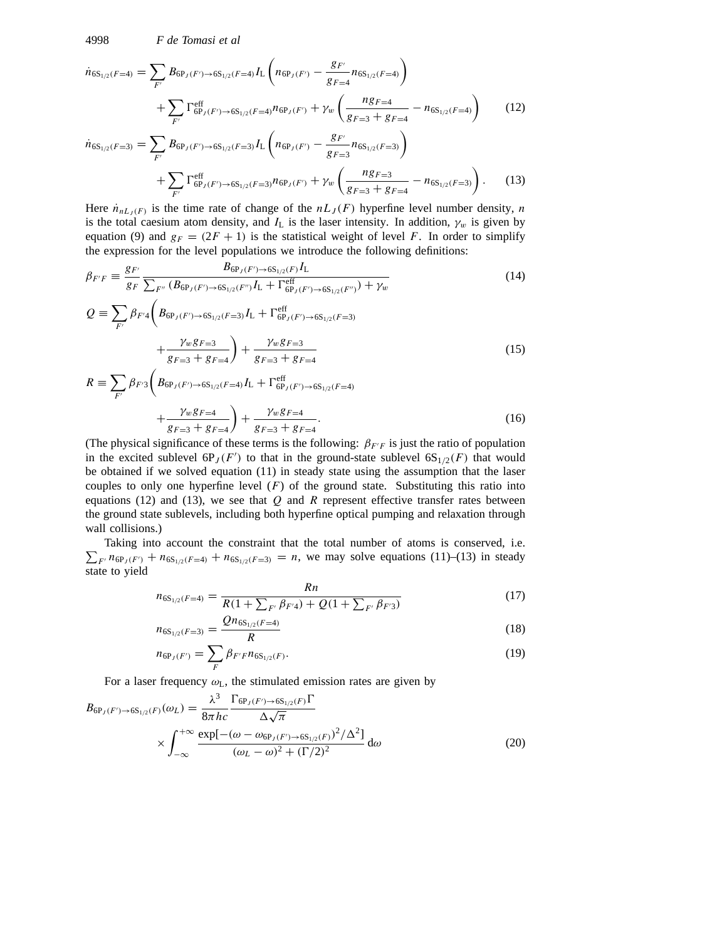4998 *F de Tomasi et al*

$$
\dot{n}_{6S_{1/2}(F=4)} = \sum_{F'} B_{6P_J(F') \to 6S_{1/2}(F=4)} I_L \left( n_{6P_J(F')} - \frac{g_{F'}}{g_{F=4}} n_{6S_{1/2}(F=4)} \right) \n+ \sum_{F'} \Gamma_{6P_J(F') \to 6S_{1/2}(F=4)}^{\text{eff}} n_{6P_J(F')} + \gamma_w \left( \frac{n g_{F=4}}{g_{F=3} + g_{F=4}} - n_{6S_{1/2}(F=4)} \right) \tag{12}
$$
\n
$$
\dot{n}_{6S_{1/2}(F=3)} = \sum_{F'} B_{6P_J(F') \to 6S_{1/2}(F=3)} I_L \left( n_{6P_J(F')} - \frac{g_{F'}}{g_{F=3}} n_{6S_{1/2}(F=3)} \right)
$$

+ 
$$
\sum_{F'} \Gamma_{6P_J(F') \to 6S_{1/2}(F=3)}^{\text{eff}} n_{6P_J(F')} + \gamma_w \left( \frac{n g_{F=3}}{g_{F=3} + g_{F=4}} - n_{6S_{1/2}(F=3)} \right)
$$
. (13)

Here  $\dot{n}_{nL_J(F)}$  is the time rate of change of the  $nL_J(F)$  hyperfine level number density, *n* is the total caesium atom density, and  $I_L$  is the laser intensity. In addition,  $\gamma_w$  is given by equation (9) and  $g_F = (2F + 1)$  is the statistical weight of level *F*. In order to simplify the expression for the level populations we introduce the following definitions:

$$
\beta_{F'F} \equiv \frac{g_{F'}}{g_F} \frac{B_{6P_J(F') \to 6S_{1/2}(F)} I_L}{\sum_{F''} (B_{6P_J(F') \to 6S_{1/2}(F'')} I_L + \Gamma_{6P_J(F') \to 6S_{1/2}(F'')}^{eff}) + \gamma_w}
$$
(14)

$$
Q = \sum_{F'} \beta_{F'4} \left( B_{6P_J(F') \to 6S_{1/2}(F=3)} I_L + \Gamma_{6P_J(F') \to 6S_{1/2}(F=3)}^{eff} + \frac{\gamma_w g_{F=3}}{g_{F=3} + g_{F=4}} \right) + \frac{\gamma_w g_{F=3}}{g_{F=3} + g_{F=4}}
$$
\n(15)

$$
R = \sum_{F'} \beta_{F'3} \left( B_{6P_J(F') \to 6S_{1/2}(F=4)} I_L + \Gamma_{6P_J(F') \to 6S_{1/2}(F=4)}^{eff} + \frac{\gamma_w g_{F=4}}{g_{F=3} + g_{F=4}} \right) + \frac{\gamma_w g_{F=4}}{g_{F=3} + g_{F=4}}.
$$
\n(16)

(The physical significance of these terms is the following:  $\beta_{F/F}$  is just the ratio of population in the excited sublevel  $6P_J(F')$  to that in the ground-state sublevel  $6S_{1/2}(F)$  that would be obtained if we solved equation (11) in steady state using the assumption that the laser couples to only one hyperfine level  $(F)$  of the ground state. Substituting this ratio into equations (12) and (13), we see that  $Q$  and  $R$  represent effective transfer rates between the ground state sublevels, including both hyperfine optical pumping and relaxation through wall collisions.)

 $\sum_{F'} n_{6P_J(F')} + n_{6S_{1/2}(F=4)} + n_{6S_{1/2}(F=3)} = n$ , we may solve equations (11)–(13) in steady Taking into account the constraint that the total number of atoms is conserved, i.e. state to yield

$$
n_{6S_{1/2}(F=4)} = \frac{Rn}{R(1 + \sum_{F'} \beta_{F'4}) + Q(1 + \sum_{F'} \beta_{F'3})}
$$
(17)

$$
n_{6S_{1/2}(F=3)} = \frac{Qn_{6S_{1/2}(F=4)}}{R}
$$
\n(18)

$$
n_{6P_J(F')} = \sum_F \beta_{F'F} n_{6S_{1/2}(F)}.
$$
\n(19)

For a laser frequency  $\omega_L$ , the stimulated emission rates are given by

$$
B_{6P_J(F')\to 6S_{1/2}(F)}(\omega_L) = \frac{\lambda^3}{8\pi hc} \frac{\Gamma_{6P_J(F')\to 6S_{1/2}(F)} \Gamma}{\Delta\sqrt{\pi}}
$$
  
 
$$
\times \int_{-\infty}^{+\infty} \frac{\exp[-(\omega - \omega_{6P_J(F')\to 6S_{1/2}(F)})^2/\Delta^2]}{(\omega_L - \omega)^2 + (\Gamma/2)^2} d\omega
$$
 (20)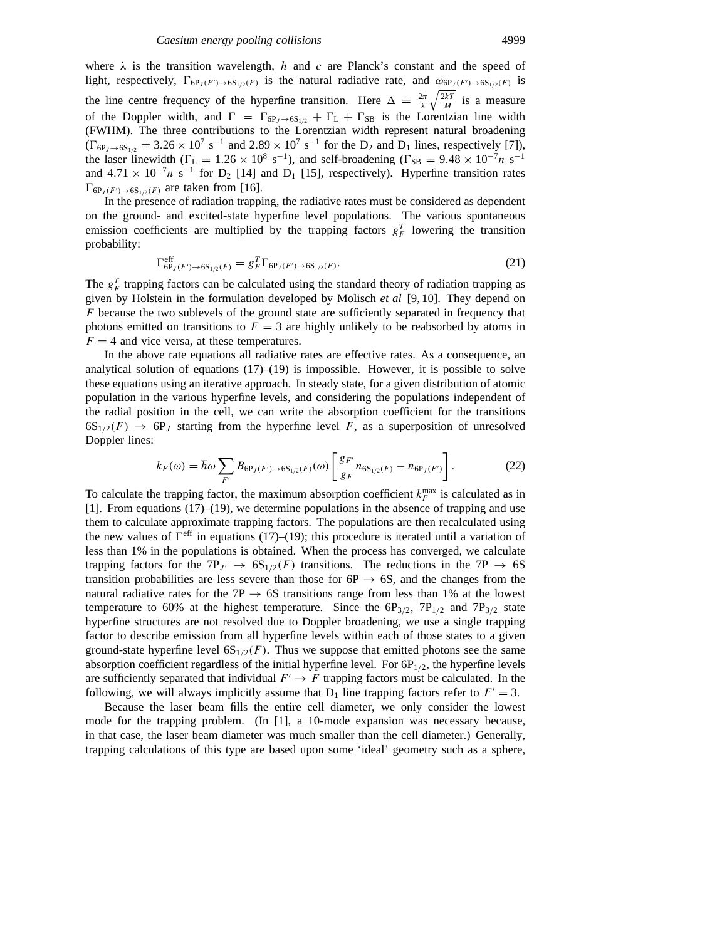where  $\lambda$  is the transition wavelength, *h* and *c* are Planck's constant and the speed of light, respectively,  $\Gamma_{6P_J(F') \to 6S_{1/2}(F)}$  is the natural radiative rate, and  $\omega_{6P_J(F') \to 6S_{1/2}(F)}$  is the line centre frequency of the hyperfine transition. Here  $\Delta = \frac{2\pi}{\lambda} \sqrt{\frac{2kT}{M}}$  is a measure of the Doppler width, and  $\Gamma = \Gamma_{6P_J \to 6S_{1/2}} + \Gamma_L + \Gamma_{SB}$  is the Lorentzian line width (FWHM). The three contributions to the Lorentzian width represent natural broadening  $(\Gamma_{6P_1 \to 6S_{1/2}} = 3.26 \times 10^7 \text{ s}^{-1}$  and  $2.89 \times 10^7 \text{ s}^{-1}$  for the D<sub>2</sub> and D<sub>1</sub> lines, respectively [7]), the laser linewidth ( $\Gamma_L = 1.26 \times 10^8 \text{ s}^{-1}$ ), and self-broadening ( $\Gamma_{SB} = 9.48 \times 10^{-7} n \text{ s}^{-1}$ and  $4.71 \times 10^{-7}$ *n* s<sup>-1</sup> for D<sub>2</sub> [14] and D<sub>1</sub> [15], respectively). Hyperfine transition rates  $\Gamma_{6P_J(F') \to 6S_{1/2}(F)}$  are taken from [16].

In the presence of radiation trapping, the radiative rates must be considered as dependent on the ground- and excited-state hyperfine level populations. The various spontaneous emission coefficients are multiplied by the trapping factors  $g_F^T$  lowering the transition probability:

$$
\Gamma_{6P_J(F') \to 6S_{1/2}(F)}^{\text{eff}} = g_F^T \Gamma_{6P_J(F') \to 6S_{1/2}(F)}.
$$
\n(21)

The  $g_F^T$  trapping factors can be calculated using the standard theory of radiation trapping as given by Holstein in the formulation developed by Molisch *et al* [9, 10]. They depend on *F* because the two sublevels of the ground state are sufficiently separated in frequency that photons emitted on transitions to  $F = 3$  are highly unlikely to be reabsorbed by atoms in  $F = 4$  and vice versa, at these temperatures.

In the above rate equations all radiative rates are effective rates. As a consequence, an analytical solution of equations  $(17)$ – $(19)$  is impossible. However, it is possible to solve these equations using an iterative approach. In steady state, for a given distribution of atomic population in the various hyperfine levels, and considering the populations independent of the radial position in the cell, we can write the absorption coefficient for the transitions  $6S_{1/2}(F) \rightarrow 6P_J$  starting from the hyperfine level F, as a superposition of unresolved Doppler lines:

$$
k_F(\omega) = \hbar \omega \sum_{F'} B_{6P_J(F') \to 6S_{1/2}(F)}(\omega) \left[ \frac{g_{F'}}{g_F} n_{6S_{1/2}(F)} - n_{6P_J(F')} \right].
$$
 (22)

To calculate the trapping factor, the maximum absorption coefficient  $k_F^{\text{max}}$  is calculated as in [1]. From equations (17)–(19), we determine populations in the absence of trapping and use them to calculate approximate trapping factors. The populations are then recalculated using the new values of  $\Gamma^{\text{eff}}$  in equations (17)–(19); this procedure is iterated until a variation of less than 1% in the populations is obtained. When the process has converged, we calculate trapping factors for the  $7P_{J'} \rightarrow 6S_{1/2}(F)$  transitions. The reductions in the  $7P \rightarrow 6S$ transition probabilities are less severe than those for  $6P \rightarrow 6S$ , and the changes from the natural radiative rates for the 7P  $\rightarrow$  6S transitions range from less than 1% at the lowest temperature to 60% at the highest temperature. Since the  $6P_{3/2}$ ,  $7P_{1/2}$  and  $7P_{3/2}$  state hyperfine structures are not resolved due to Doppler broadening, we use a single trapping factor to describe emission from all hyperfine levels within each of those states to a given ground-state hyperfine level  $6S_{1/2}(F)$ . Thus we suppose that emitted photons see the same absorption coefficient regardless of the initial hyperfine level. For  $6P_{1/2}$ , the hyperfine levels are sufficiently separated that individual  $F' \rightarrow F$  trapping factors must be calculated. In the following, we will always implicitly assume that  $D_1$  line trapping factors refer to  $F' = 3$ .

Because the laser beam fills the entire cell diameter, we only consider the lowest mode for the trapping problem. (In [1], a 10-mode expansion was necessary because, in that case, the laser beam diameter was much smaller than the cell diameter.) Generally, trapping calculations of this type are based upon some 'ideal' geometry such as a sphere,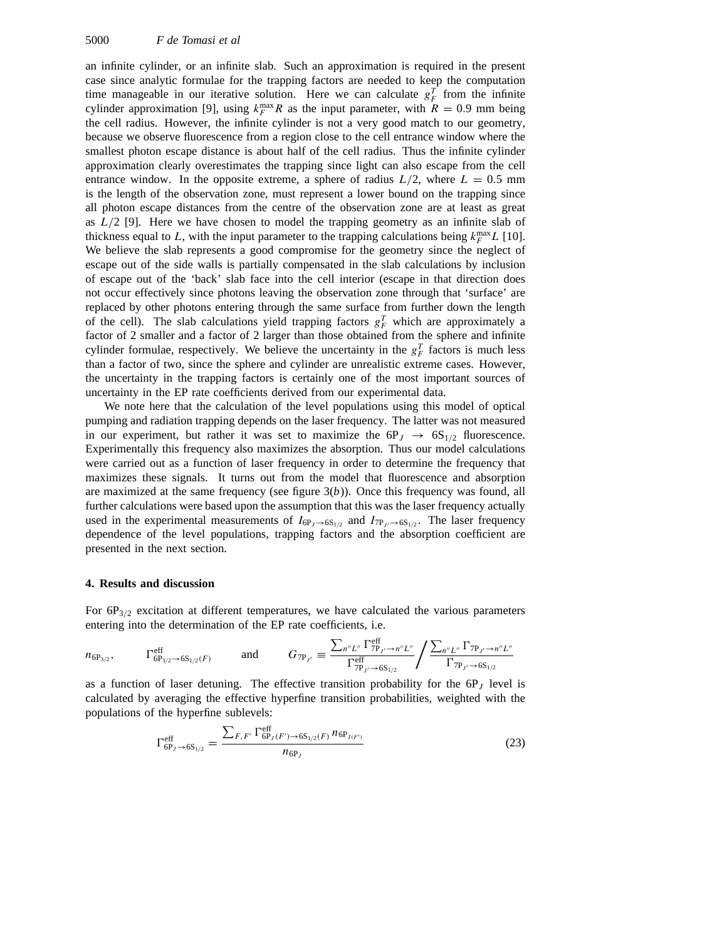an infinite cylinder, or an infinite slab. Such an approximation is required in the present case since analytic formulae for the trapping factors are needed to keep the computation time manageable in our iterative solution. Here we can calculate  $g_F^T$  from the infinite cylinder approximation [9], using  $k_F^{\text{max}} R$  as the input parameter, with  $R = 0.9$  mm being the cell radius. However, the infinite cylinder is not a very good match to our geometry, because we observe fluorescence from a region close to the cell entrance window where the smallest photon escape distance is about half of the cell radius. Thus the infinite cylinder approximation clearly overestimates the trapping since light can also escape from the cell entrance window. In the opposite extreme, a sphere of radius  $L/2$ , where  $L = 0.5$  mm is the length of the observation zone, must represent a lower bound on the trapping since all photon escape distances from the centre of the observation zone are at least as great as *L/*2 [9]. Here we have chosen to model the trapping geometry as an infinite slab of thickness equal to *L*, with the input parameter to the trapping calculations being  $k_F^{\text{max}} L$  [10]. We believe the slab represents a good compromise for the geometry since the neglect of escape out of the side walls is partially compensated in the slab calculations by inclusion of escape out of the 'back' slab face into the cell interior (escape in that direction does not occur effectively since photons leaving the observation zone through that 'surface' are replaced by other photons entering through the same surface from further down the length of the cell). The slab calculations yield trapping factors  $g_F^T$  which are approximately a factor of 2 smaller and a factor of 2 larger than those obtained from the sphere and infinite cylinder formulae, respectively. We believe the uncertainty in the  $g_F^T$  factors is much less than a factor of two, since the sphere and cylinder are unrealistic extreme cases. However, the uncertainty in the trapping factors is certainly one of the most important sources of uncertainty in the EP rate coefficients derived from our experimental data.

We note here that the calculation of the level populations using this model of optical pumping and radiation trapping depends on the laser frequency. The latter was not measured in our experiment, but rather it was set to maximize the  $6P_J \rightarrow 6S_{1/2}$  fluorescence. Experimentally this frequency also maximizes the absorption. Thus our model calculations were carried out as a function of laser frequency in order to determine the frequency that maximizes these signals. It turns out from the model that fluorescence and absorption are maximized at the same frequency (see figure 3(*b*)). Once this frequency was found, all further calculations were based upon the assumption that this was the laser frequency actually used in the experimental measurements of  $I_{6P_J \to 6S_{1/2}}$  and  $I_{7P_{J'} \to 6S_{1/2}}$ . The laser frequency dependence of the level populations, trapping factors and the absorption coefficient are presented in the next section.

#### **4. Results and discussion**

For 6P<sub>3/2</sub> excitation at different temperatures, we have calculated the various parameters entering into the determination of the EP rate coefficients, i.e.

$$
n_{6P_{3/2}}, \qquad \Gamma_{6P_{3/2}\rightarrow 6S_{1/2}(F)}^{\text{eff}} \qquad \text{and} \qquad G_{7P_{J'}} \equiv \frac{\sum_{n''L''} \Gamma_{7P_{J'}\rightarrow n''L''}^{\text{eff}}}{\Gamma_{7P_{J'}\rightarrow 6S_{1/2}}^{eff}} \left/ \frac{\sum_{n''L''} \Gamma_{7P_{J'}\rightarrow n''L''}}{\Gamma_{7P_{J'}\rightarrow 6S_{1/2}}}\right.
$$

as a function of laser detuning. The effective transition probability for the  $6P<sub>J</sub>$  level is calculated by averaging the effective hyperfine transition probabilities, weighted with the populations of the hyperfine sublevels:

$$
\Gamma_{6\text{P}_J \to 6\text{S}_{1/2}}^{\text{eff}} = \frac{\sum_{F, F'} \Gamma_{6\text{P}_J(F') \to 6\text{S}_{1/2}(F)}^{\text{eff}} n_{6\text{P}_{J(F')}}}{n_{6\text{P}_J}}
$$
(23)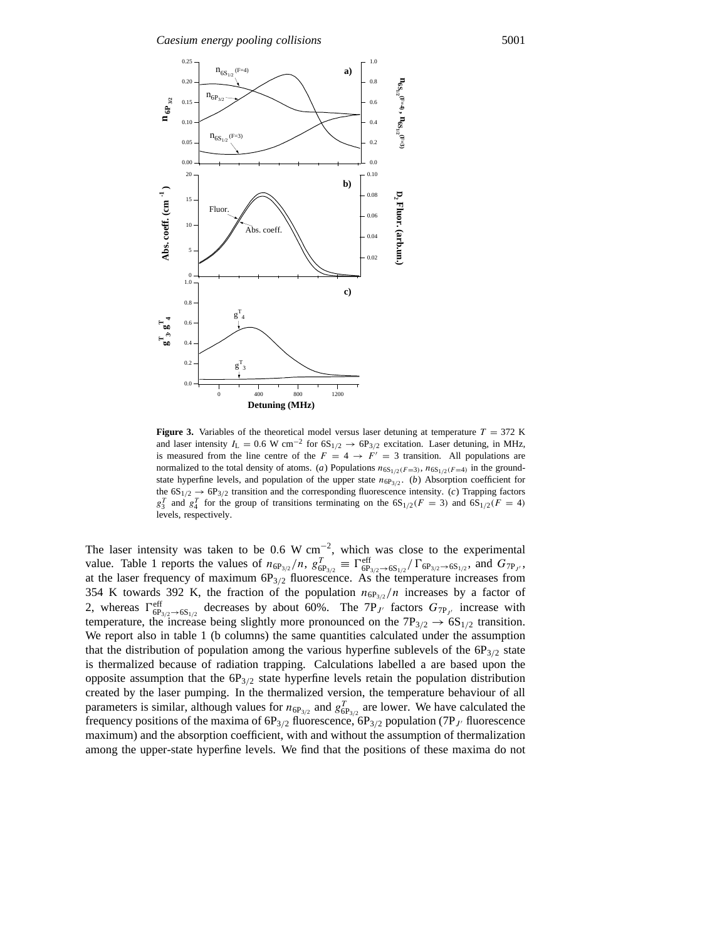

**Figure 3.** Variables of the theoretical model versus laser detuning at temperature  $T = 372$  K and laser intensity  $I_L = 0.6 \text{ W cm}^{-2}$  for  $6S_{1/2} \rightarrow 6P_{3/2}$  excitation. Laser detuning, in MHz, is measured from the line centre of the  $F = 4 \rightarrow F' = 3$  transition. All populations are normalized to the total density of atoms. (*a*) Populations  $n_{6S_{1/2}(F=3)}$ ,  $n_{6S_{1/2}(F=4)}$  in the groundstate hyperfine levels, and population of the upper state  $n_{6P_{3/2}}$ . (*b*) Absorption coefficient for the  $6S_{1/2} \rightarrow 6P_{3/2}$  transition and the corresponding fluorescence intensity. (*c*) Trapping factors  $g_3^T$  and  $g_4^T$  for the group of transitions terminating on the  $6S_{1/2}(F = 3)$  and  $6S_{1/2}(F = 4)$ levels, respectively.

The laser intensity was taken to be 0*.*6 W cm−2, which was close to the experimental value. Table 1 reports the values of  $n_{6P_{3/2}}/n$ ,  $g_{6P_{3/2}}^T \equiv \Gamma_{6P_{3/2}}^{\text{eff}} / \Gamma_{6P_{3/2} \to 6S_{1/2}}$ , and  $G_{7P_J}$ , at the laser frequency of maximum  $6P_{3/2}$  fluorescence. As the temperature increases from 354 K towards 392 K, the fraction of the population  $n_{6P_{3/2}}/n$  increases by a factor of 2, whereas  $\Gamma_{6P_{3/2}\rightarrow 6S_{1/2}}^{\text{eff}}$  decreases by about 60%. The 7P<sub>J</sub> factors  $G_{7P_{J'}}$  increase with temperature, the increase being slightly more pronounced on the  $7P_{3/2} \rightarrow 6S_{1/2}$  transition. We report also in table 1 (b columns) the same quantities calculated under the assumption that the distribution of population among the various hyperfine sublevels of the  $6P_{3/2}$  state is thermalized because of radiation trapping. Calculations labelled a are based upon the opposite assumption that the  $6P_{3/2}$  state hyperfine levels retain the population distribution created by the laser pumping. In the thermalized version, the temperature behaviour of all parameters is similar, although values for  $n_{6P_{3/2}}$  and  $g_{6P_{3/2}}^T$  are lower. We have calculated the frequency positions of the maxima of  $6P_{3/2}$  fluorescence,  $6P_{3/2}$  population (7P<sub>J</sub> fluorescence maximum) and the absorption coefficient, with and without the assumption of thermalization among the upper-state hyperfine levels. We find that the positions of these maxima do not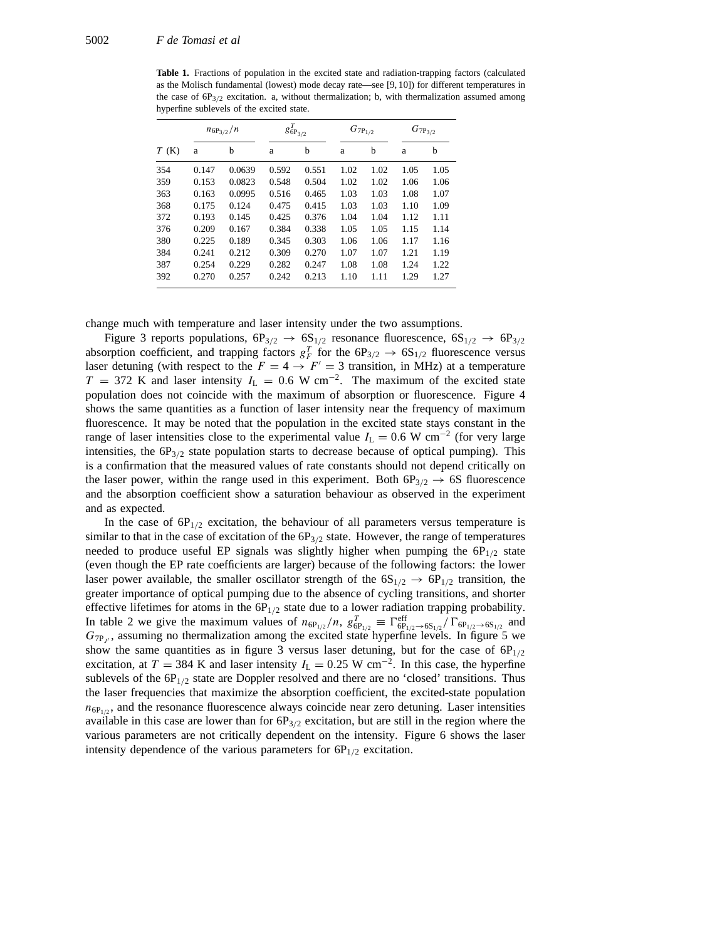| hyperfine sublevels of the excited state. |                  |        |                  |       |                |      |                |      |
|-------------------------------------------|------------------|--------|------------------|-------|----------------|------|----------------|------|
|                                           | $n_{6P_{3/2}}/n$ |        | $g_{6P_{3/2}}^T$ |       | $G_{7P_{1/2}}$ |      | $G_{7P_{3/2}}$ |      |
| T(K)                                      | a                | b      | a                | b     | a              | b    | a              | b    |
| 354                                       | 0.147            | 0.0639 | 0.592            | 0.551 | 1.02           | 1.02 | 1.05           | 1.05 |
| 359                                       | 0.153            | 0.0823 | 0.548            | 0.504 | 1.02           | 1.02 | 1.06           | 1.06 |
| 363                                       | 0.163            | 0.0995 | 0.516            | 0.465 | 1.03           | 1.03 | 1.08           | 1.07 |
| 368                                       | 0.175            | 0.124  | 0.475            | 0.415 | 1.03           | 1.03 | 1.10           | 1.09 |
| 372                                       | 0.193            | 0.145  | 0.425            | 0.376 | 1.04           | 1.04 | 1.12           | 1.11 |
| 376                                       | 0.209            | 0.167  | 0.384            | 0.338 | 1.05           | 1.05 | 1.15           | 1.14 |
| 380                                       | 0.225            | 0.189  | 0.345            | 0.303 | 1.06           | 1.06 | 1.17           | 1.16 |
| 384                                       | 0.241            | 0.212  | 0.309            | 0.270 | 1.07           | 1.07 | 1.21           | 1.19 |
| 387                                       | 0.254            | 0.229  | 0.282            | 0.247 | 1.08           | 1.08 | 1.24           | 1.22 |
| 392                                       | 0.270            | 0.257  | 0.242            | 0.213 | 1.10           | 1.11 | 1.29           | 1.27 |

**Table 1.** Fractions of population in the excited state and radiation-trapping factors (calculated as the Molisch fundamental (lowest) mode decay rate—see [9, 10]) for different temperatures in the case of  $6P_{3/2}$  excitation. a, without thermalization; b, with thermalization assumed among

change much with temperature and laser intensity under the two assumptions.

Figure 3 reports populations,  $6P_{3/2} \rightarrow 6S_{1/2}$  resonance fluorescence,  $6S_{1/2} \rightarrow 6P_{3/2}$ absorption coefficient, and trapping factors  $g_F^T$  for the  $6P_{3/2} \rightarrow 6S_{1/2}$  fluorescence versus laser detuning (with respect to the  $F = 4 \rightarrow F' = 3$  transition, in MHz) at a temperature  $T = 372$  K and laser intensity  $I_L = 0.6$  W cm<sup>-2</sup>. The maximum of the excited state population does not coincide with the maximum of absorption or fluorescence. Figure 4 shows the same quantities as a function of laser intensity near the frequency of maximum fluorescence. It may be noted that the population in the excited state stays constant in the range of laser intensities close to the experimental value  $I_L = 0.6$  W cm<sup>-2</sup> (for very large intensities, the  $6P_{3/2}$  state population starts to decrease because of optical pumping). This is a confirmation that the measured values of rate constants should not depend critically on the laser power, within the range used in this experiment. Both  $6P_{3/2} \rightarrow 6S$  fluorescence and the absorption coefficient show a saturation behaviour as observed in the experiment and as expected.

In the case of  $6P_{1/2}$  excitation, the behaviour of all parameters versus temperature is similar to that in the case of excitation of the  $6P_{3/2}$  state. However, the range of temperatures needed to produce useful EP signals was slightly higher when pumping the  $6P_{1/2}$  state (even though the EP rate coefficients are larger) because of the following factors: the lower laser power available, the smaller oscillator strength of the  $6S_{1/2} \rightarrow 6P_{1/2}$  transition, the greater importance of optical pumping due to the absence of cycling transitions, and shorter effective lifetimes for atoms in the  $6P_{1/2}$  state due to a lower radiation trapping probability. In table 2 we give the maximum values of  $n_{6P_{1/2}}/n$ ,  $g_{6P_{1/2}}^T \equiv \Gamma_{6P_{1/2} \to 6S_{1/2}}^{\text{eff}}/\Gamma_{6P_{1/2} \to 6S_{1/2}}$  and  $G_{7P_{I'}}$ , assuming no thermalization among the excited state hyperfine levels. In figure 5 we show the same quantities as in figure 3 versus laser detuning, but for the case of  $6P_{1/2}$ excitation, at  $T = 384$  K and laser intensity  $I_L = 0.25$  W cm<sup>-2</sup>. In this case, the hyperfine sublevels of the  $6P_{1/2}$  state are Doppler resolved and there are no 'closed' transitions. Thus the laser frequencies that maximize the absorption coefficient, the excited-state population  $n_{6P_{1/2}}$ , and the resonance fluorescence always coincide near zero detuning. Laser intensities available in this case are lower than for  $6P_{3/2}$  excitation, but are still in the region where the various parameters are not critically dependent on the intensity. Figure 6 shows the laser intensity dependence of the various parameters for  $6P_{1/2}$  excitation.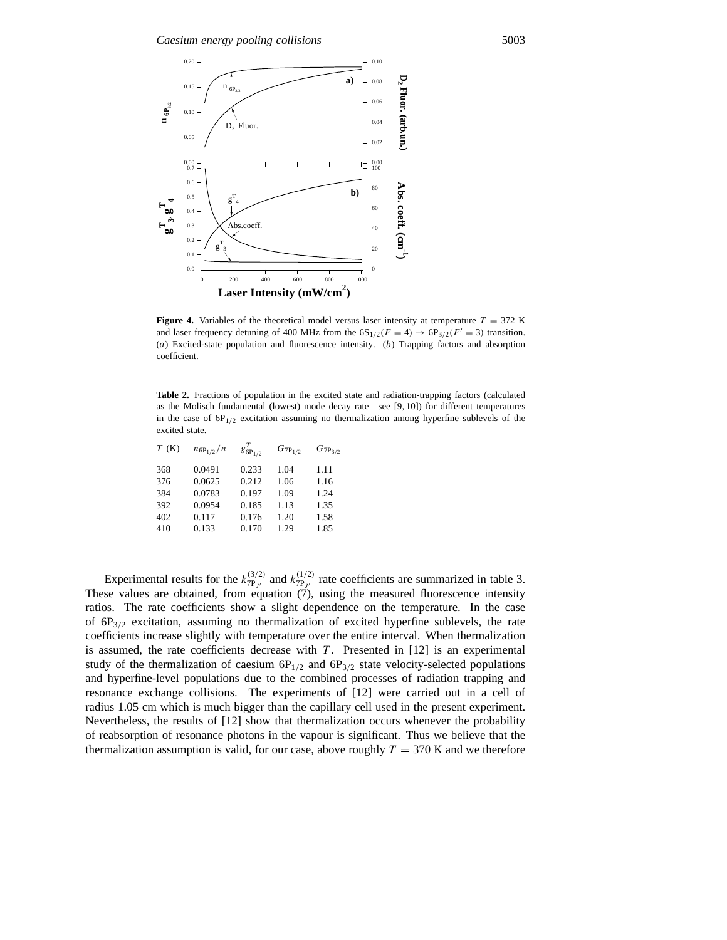

**Figure 4.** Variables of the theoretical model versus laser intensity at temperature  $T = 372$  K and laser frequency detuning of 400 MHz from the  $6S_{1/2}(F = 4) \rightarrow 6P_{3/2}(F' = 3)$  transition. (*a*) Excited-state population and fluorescence intensity. (*b*) Trapping factors and absorption coefficient.

**Table 2.** Fractions of population in the excited state and radiation-trapping factors (calculated as the Molisch fundamental (lowest) mode decay rate—see [9, 10]) for different temperatures in the case of  $6P_{1/2}$  excitation assuming no thermalization among hyperfine sublevels of the excited state.

| T(K) | $n_{6P_{1/2}}/n$ | $g_{6\text{P}_{1/2}}^T$ | $G_{7P_{1/2}}$ | $G_{7P_{3/2}}$ |
|------|------------------|-------------------------|----------------|----------------|
| 368  | 0.0491           | 0.233                   | 1.04           | 1.11           |
| 376  | 0.0625           | 0.212                   | 1.06           | 1.16           |
| 384  | 0.0783           | 0.197                   | 1.09           | 1.24           |
| 392  | 0.0954           | 0.185                   | 1.13           | 1.35           |
| 402  | 0.117            | 0.176                   | 1.20           | 1.58           |
| 410  | 0.133            | 0.170                   | 1.29           | 1.85           |

Experimental results for the  $k_{7P_{J'}}^{(3/2)}$  and  $k_{7P_{J'}}^{(1/2)}$  rate coefficients are summarized in table 3. These values are obtained, from equation (7), using the measured fluorescence intensity ratios. The rate coefficients show a slight dependence on the temperature. In the case of 6P3*/*<sup>2</sup> excitation, assuming no thermalization of excited hyperfine sublevels, the rate coefficients increase slightly with temperature over the entire interval. When thermalization is assumed, the rate coefficients decrease with  $T$ . Presented in  $[12]$  is an experimental study of the thermalization of caesium  $6P_{1/2}$  and  $6P_{3/2}$  state velocity-selected populations and hyperfine-level populations due to the combined processes of radiation trapping and resonance exchange collisions. The experiments of [12] were carried out in a cell of radius 1.05 cm which is much bigger than the capillary cell used in the present experiment. Nevertheless, the results of [12] show that thermalization occurs whenever the probability of reabsorption of resonance photons in the vapour is significant. Thus we believe that the thermalization assumption is valid, for our case, above roughly  $T = 370$  K and we therefore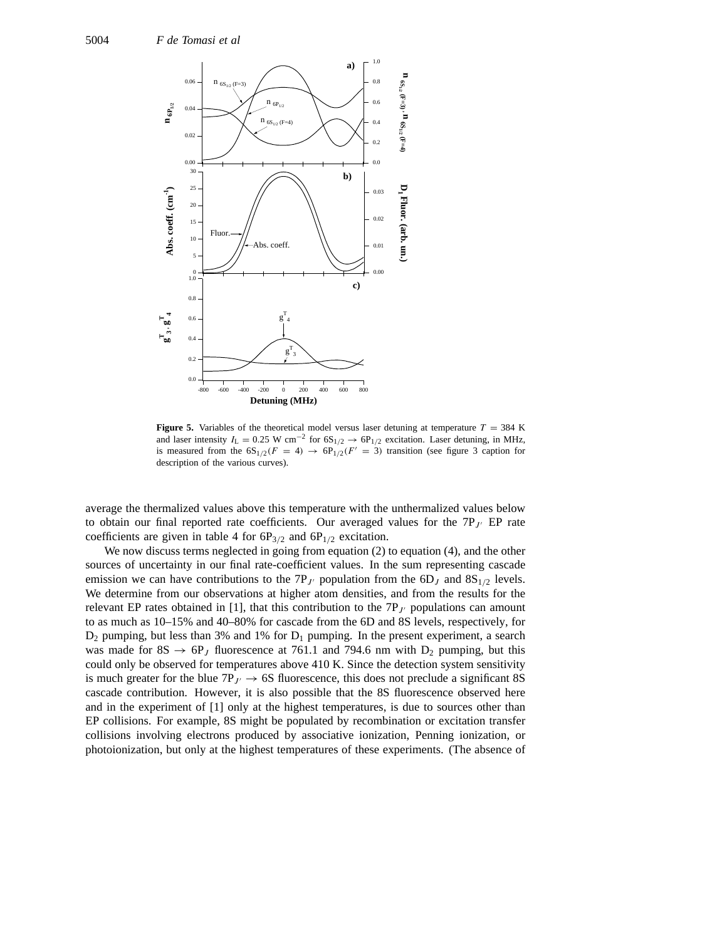

**Figure 5.** Variables of the theoretical model versus laser detuning at temperature  $T = 384$  K and laser intensity  $I_L = 0.25 \text{ W cm}^{-2}$  for  $6S_{1/2} \rightarrow 6P_{1/2}$  excitation. Laser detuning, in MHz, is measured from the  $6S_{1/2}(F = 4) \rightarrow 6P_{1/2}(F' = 3)$  transition (see figure 3 caption for description of the various curves).

average the thermalized values above this temperature with the unthermalized values below to obtain our final reported rate coefficients. Our averaged values for the  $7P_J$  EP rate coefficients are given in table 4 for  $6P_{3/2}$  and  $6P_{1/2}$  excitation.

We now discuss terms neglected in going from equation (2) to equation (4), and the other sources of uncertainty in our final rate-coefficient values. In the sum representing cascade emission we can have contributions to the  $7P_{J'}$  population from the  $6D_J$  and  $8S_{1/2}$  levels. We determine from our observations at higher atom densities, and from the results for the relevant EP rates obtained in [1], that this contribution to the  $7P_{J'}$  populations can amount to as much as 10–15% and 40–80% for cascade from the 6D and 8S levels, respectively, for  $D_2$  pumping, but less than 3% and 1% for  $D_1$  pumping. In the present experiment, a search was made for  $8S \rightarrow 6P_J$  fluorescence at 761.1 and 794.6 nm with  $D_2$  pumping, but this could only be observed for temperatures above 410 K. Since the detection system sensitivity is much greater for the blue  $7P_{J'} \rightarrow 6S$  fluorescence, this does not preclude a significant 8S cascade contribution. However, it is also possible that the 8S fluorescence observed here and in the experiment of [1] only at the highest temperatures, is due to sources other than EP collisions. For example, 8S might be populated by recombination or excitation transfer collisions involving electrons produced by associative ionization, Penning ionization, or photoionization, but only at the highest temperatures of these experiments. (The absence of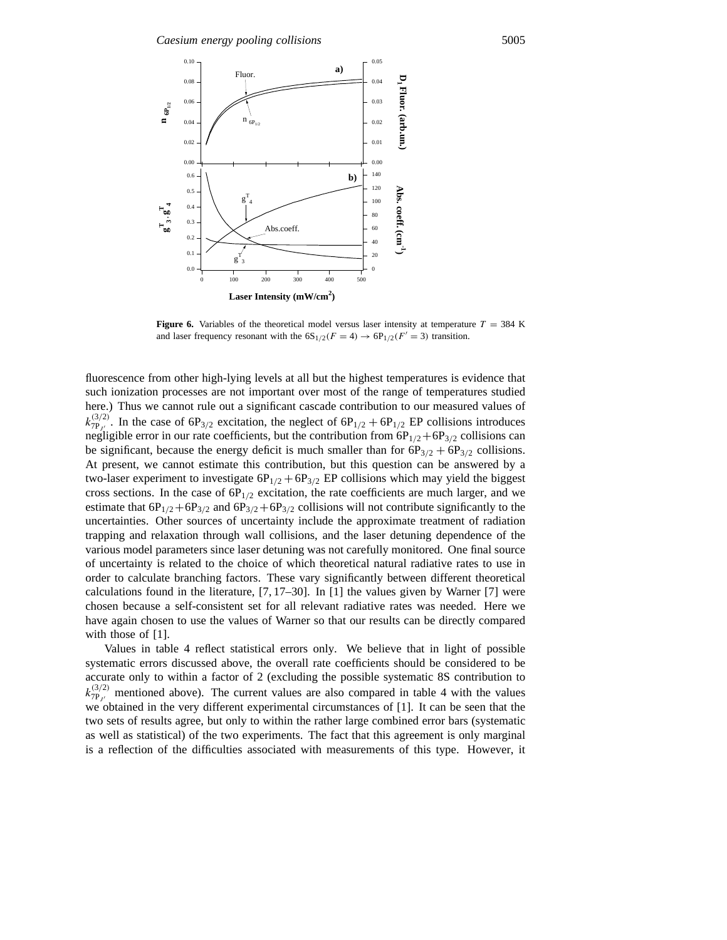

**Figure 6.** Variables of the theoretical model versus laser intensity at temperature  $T = 384$  K and laser frequency resonant with the  $6S_{1/2}(F = 4) \rightarrow 6P_{1/2}(F' = 3)$  transition.

fluorescence from other high-lying levels at all but the highest temperatures is evidence that such ionization processes are not important over most of the range of temperatures studied here.) Thus we cannot rule out a significant cascade contribution to our measured values of  $k_{7P_{J'}}^{(3/2)}$ . In the case of 6P<sub>3/2</sub> excitation, the neglect of 6P<sub>1/2</sub> + 6P<sub>1/2</sub> EP collisions introduces negligible error in our rate coefficients, but the contribution from  $6P_{1/2} + 6P_{3/2}$  collisions can be significant, because the energy deficit is much smaller than for  $6P_{3/2} + 6P_{3/2}$  collisions. At present, we cannot estimate this contribution, but this question can be answered by a two-laser experiment to investigate  $6P_{1/2} + 6P_{3/2}$  EP collisions which may yield the biggest cross sections. In the case of  $6P_{1/2}$  excitation, the rate coefficients are much larger, and we estimate that  $6P_{1/2} + 6P_{3/2}$  and  $6P_{3/2} + 6P_{3/2}$  collisions will not contribute significantly to the uncertainties. Other sources of uncertainty include the approximate treatment of radiation trapping and relaxation through wall collisions, and the laser detuning dependence of the various model parameters since laser detuning was not carefully monitored. One final source of uncertainty is related to the choice of which theoretical natural radiative rates to use in order to calculate branching factors. These vary significantly between different theoretical calculations found in the literature,  $[7, 17–30]$ . In  $[1]$  the values given by Warner  $[7]$  were chosen because a self-consistent set for all relevant radiative rates was needed. Here we have again chosen to use the values of Warner so that our results can be directly compared with those of [1].

Values in table 4 reflect statistical errors only. We believe that in light of possible systematic errors discussed above, the overall rate coefficients should be considered to be accurate only to within a factor of 2 (excluding the possible systematic 8S contribution to  $k_{7P_{J'}}^{(3/2)}$  mentioned above). The current values are also compared in table 4 with the values we obtained in the very different experimental circumstances of [1]. It can be seen that the two sets of results agree, but only to within the rather large combined error bars (systematic as well as statistical) of the two experiments. The fact that this agreement is only marginal is a reflection of the difficulties associated with measurements of this type. However, it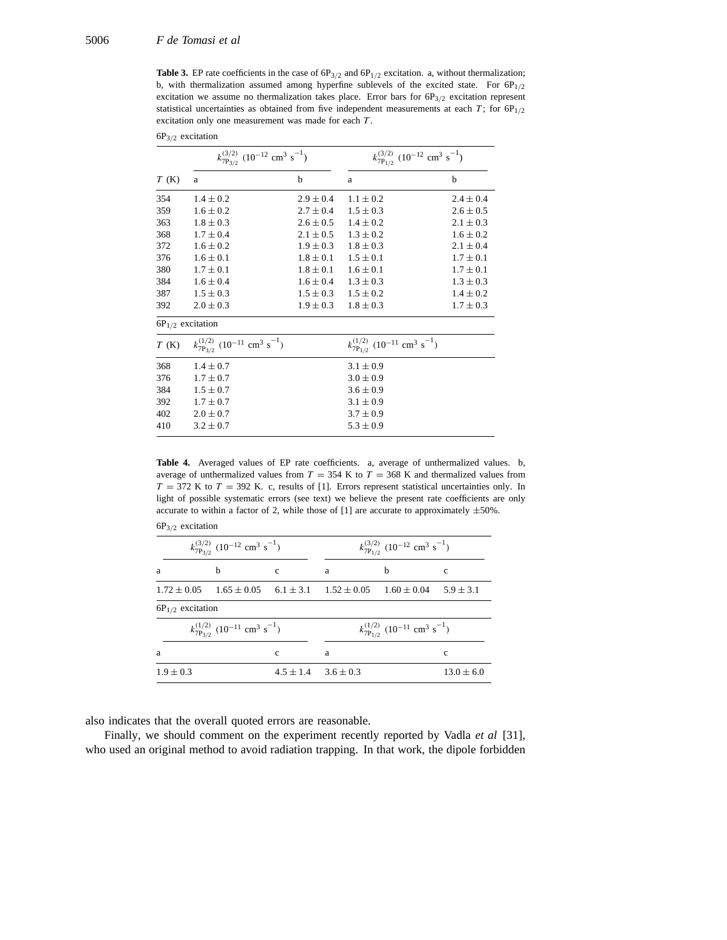**Table 3.** EP rate coefficients in the case of  $6P_{3/2}$  and  $6P_{1/2}$  excitation. a, without thermalization; b, with thermalization assumed among hyperfine sublevels of the excited state. For  $6P_{1/2}$ excitation we assume no thermalization takes place. Error bars for  $6P_{3/2}$  excitation represent statistical uncertainties as obtained from five independent measurements at each  $T$ ; for  $6P_{1/2}$ excitation only one measurement was made for each *T* .

6P3*/*<sup>2</sup> excitation

|                       | $k_{7P_{3/2}}^{(3/2)}$ (10 <sup>-12</sup> cm <sup>3</sup> s <sup>-1</sup> ) |               | $k_{7P_{1/2}}^{(3/2)}$ (10 <sup>-12</sup> cm <sup>3</sup> s <sup>-1</sup> ) |               |  |
|-----------------------|-----------------------------------------------------------------------------|---------------|-----------------------------------------------------------------------------|---------------|--|
| T(K)                  | a                                                                           | b             | a                                                                           | $\mathbf b$   |  |
| 354                   | $1.4 \pm 0.2$                                                               | $2.9 \pm 0.4$ | $1.1 \pm 0.2$                                                               | $2.4 \pm 0.4$ |  |
| 359                   | $1.6 \pm 0.2$                                                               | $2.7 \pm 0.4$ | $1.5 \pm 0.3$                                                               | $2.6 \pm 0.5$ |  |
| 363                   | $1.8 \pm 0.3$                                                               | $2.6 \pm 0.5$ | $1.4 \pm 0.2$                                                               | $2.1 \pm 0.3$ |  |
| 368                   | $1.7 \pm 0.4$                                                               | $2.1 \pm 0.5$ | $1.3 \pm 0.2$                                                               | $1.6 \pm 0.2$ |  |
| 372                   | $1.6 \pm 0.2$                                                               | $1.9 \pm 0.3$ | $1.8 \pm 0.3$                                                               | $2.1 \pm 0.4$ |  |
| 376                   | $1.6 \pm 0.1$                                                               | $1.8 \pm 0.1$ | $1.5 \pm 0.1$                                                               | $1.7 \pm 0.1$ |  |
| 380                   | $1.7 \pm 0.1$                                                               | $1.8 \pm 0.1$ | $1.6 \pm 0.1$                                                               | $1.7 \pm 0.1$ |  |
| 384                   | $1.6 \pm 0.4$                                                               | $1.6 \pm 0.4$ | $1.3 \pm 0.3$                                                               | $1.3 \pm 0.3$ |  |
| 387                   | $1.5 \pm 0.3$                                                               | $1.5 \pm 0.3$ | $1.5 \pm 0.2$                                                               | $1.4 \pm 0.2$ |  |
| 392                   | $2.0 \pm 0.3$                                                               | $1.9 \pm 0.3$ | $1.8 \pm 0.3$                                                               | $1.7 \pm 0.3$ |  |
| $6P_{1/2}$ excitation |                                                                             |               |                                                                             |               |  |
| T(K)                  | $k_{7P_3/2}^{(1/2)}$ (10 <sup>-11</sup> cm <sup>3</sup> s <sup>-1</sup> )   |               | $k_{7P_1/2}^{(1/2)}$ (10 <sup>-11</sup> cm <sup>3</sup> s <sup>-1</sup> )   |               |  |
| 368                   | $1.4 \pm 0.7$                                                               |               | $3.1 \pm 0.9$                                                               |               |  |
| 376                   | $1.7 \pm 0.7$                                                               |               | $3.0 \pm 0.9$                                                               |               |  |
| 384                   | $1.5 \pm 0.7$                                                               |               | $3.6 \pm 0.9$                                                               |               |  |
| 392                   | $1.7 \pm 0.7$                                                               |               | $3.1 \pm 0.9$                                                               |               |  |
| 402                   | $2.0 \pm 0.7$                                                               |               | $3.7 \pm 0.9$                                                               |               |  |
| 410                   | $3.2 \pm 0.7$                                                               |               | $5.3 \pm 0.9$                                                               |               |  |

**Table 4.** Averaged values of EP rate coefficients. a, average of unthermalized values. b, average of unthermalized values from  $T = 354$  K to  $T = 368$  K and thermalized values from  $T = 372$  K to  $T = 392$  K. c, results of [1]. Errors represent statistical uncertainties only. In light of possible systematic errors (see text) we believe the present rate coefficients are only accurate to within a factor of 2, while those of [1] are accurate to approximately  $\pm 50\%$ . 6P3*/*<sup>2</sup> excitation

| $k_{7P_3/2}^{(3/2)}$ (10 <sup>-12</sup> cm <sup>3</sup> s <sup>-1</sup> )   |                                 |               | $k_{7P_{1/2}}^{(3/2)}$ (10 <sup>-12</sup> cm <sup>3</sup> s <sup>-1</sup> ) |                 |               |  |  |
|-----------------------------------------------------------------------------|---------------------------------|---------------|-----------------------------------------------------------------------------|-----------------|---------------|--|--|
| a                                                                           | b                               | $\mathbf{c}$  | a                                                                           | h               | c             |  |  |
|                                                                             | $1.72 \pm 0.05$ $1.65 \pm 0.05$ | $6.1 \pm 3.1$ | $1.52 \pm 0.05$                                                             | $1.60 \pm 0.04$ | $5.9 \pm 3.1$ |  |  |
| $6P_{1/2}$ excitation                                                       |                                 |               |                                                                             |                 |               |  |  |
| $k_{7P_{3/2}}^{(1/2)}$ (10 <sup>-11</sup> cm <sup>3</sup> s <sup>-1</sup> ) |                                 |               | $k_{7P_{1/2}}^{(1/2)}$ (10 <sup>-11</sup> cm <sup>3</sup> s <sup>-1</sup> ) |                 |               |  |  |
| a                                                                           |                                 | $\mathbf{c}$  | a                                                                           |                 | c             |  |  |
| $1.9 \pm 0.3$<br>$4.5 \pm 1.4$                                              |                                 | $3.6 \pm 0.3$ |                                                                             | $13.0 \pm 6.0$  |               |  |  |

also indicates that the overall quoted errors are reasonable.

Finally, we should comment on the experiment recently reported by Vadla *et al* [31], who used an original method to avoid radiation trapping. In that work, the dipole forbidden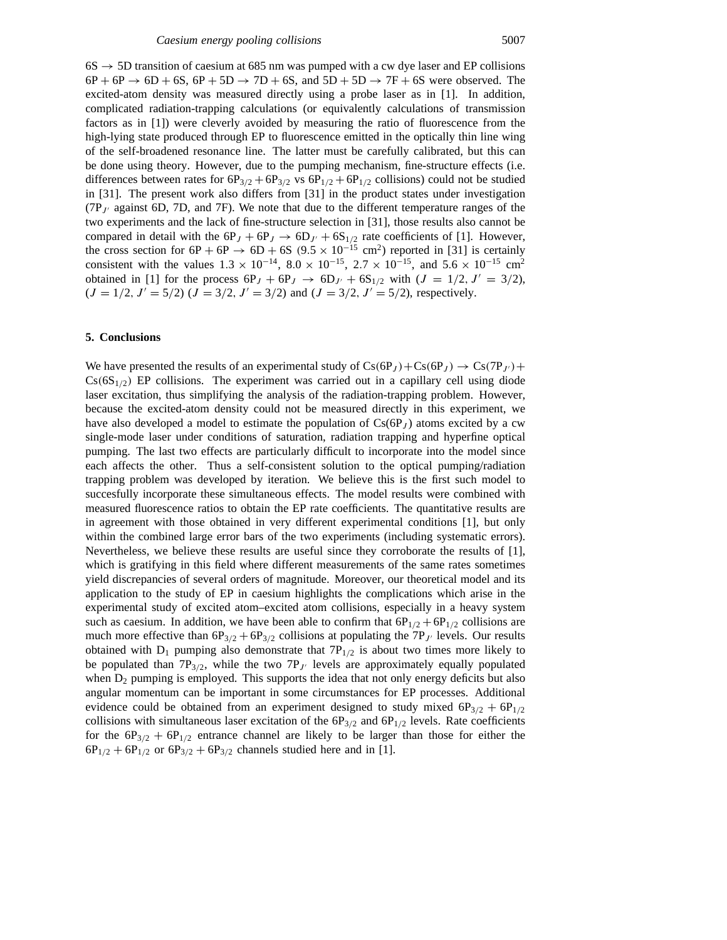$6S \rightarrow 5D$  transition of caesium at 685 nm was pumped with a cw dye laser and EP collisions  $6P + 6P \rightarrow 6D + 6S$ ,  $6P + 5D \rightarrow 7D + 6S$ , and  $5D + 5D \rightarrow 7F + 6S$  were observed. The excited-atom density was measured directly using a probe laser as in [1]. In addition, complicated radiation-trapping calculations (or equivalently calculations of transmission factors as in [1]) were cleverly avoided by measuring the ratio of fluorescence from the high-lying state produced through EP to fluorescence emitted in the optically thin line wing of the self-broadened resonance line. The latter must be carefully calibrated, but this can be done using theory. However, due to the pumping mechanism, fine-structure effects (i.e. differences between rates for  $6P_{3/2} + 6P_{3/2}$  vs  $6P_{1/2} + 6P_{1/2}$  collisions) could not be studied in [31]. The present work also differs from [31] in the product states under investigation ( $7P_J$ <sup> $\prime$ </sup> against 6D, 7D, and 7F). We note that due to the different temperature ranges of the two experiments and the lack of fine-structure selection in [31], those results also cannot be compared in detail with the  $6P_J + 6P_J \rightarrow 6D_{J'} + 6S_{1/2}$  rate coefficients of [1]. However, the cross section for  $6P + 6P \rightarrow 6D + 6S$   $(9.5 \times 10^{-15} \text{ cm}^2)$  reported in [31] is certainly consistent with the values  $1.3 \times 10^{-14}$ ,  $8.0 \times 10^{-15}$ ,  $2.7 \times 10^{-15}$ , and  $5.6 \times 10^{-15}$  cm<sup>2</sup> obtained in [1] for the process  $6P_J + 6P_J \rightarrow 6D_{J'} + 6S_{1/2}$  with  $(J = 1/2, J' = 3/2)$ ,  $(J = 1/2, J' = 5/2)$   $(J = 3/2, J' = 3/2)$  and  $(J = 3/2, J' = 5/2)$ , respectively.

#### **5. Conclusions**

We have presented the results of an experimental study of  $\text{Cs}(6P_J) + \text{Cs}(6P_J) \rightarrow \text{Cs}(7P_{J'}) +$  $Cs(6S<sub>1/2</sub>)$  EP collisions. The experiment was carried out in a capillary cell using diode laser excitation, thus simplifying the analysis of the radiation-trapping problem. However, because the excited-atom density could not be measured directly in this experiment, we have also developed a model to estimate the population of  $Cs(6P<sub>J</sub>)$  atoms excited by a cw single-mode laser under conditions of saturation, radiation trapping and hyperfine optical pumping. The last two effects are particularly difficult to incorporate into the model since each affects the other. Thus a self-consistent solution to the optical pumping/radiation trapping problem was developed by iteration. We believe this is the first such model to succesfully incorporate these simultaneous effects. The model results were combined with measured fluorescence ratios to obtain the EP rate coefficients. The quantitative results are in agreement with those obtained in very different experimental conditions [1], but only within the combined large error bars of the two experiments (including systematic errors). Nevertheless, we believe these results are useful since they corroborate the results of [1], which is gratifying in this field where different measurements of the same rates sometimes yield discrepancies of several orders of magnitude. Moreover, our theoretical model and its application to the study of EP in caesium highlights the complications which arise in the experimental study of excited atom–excited atom collisions, especially in a heavy system such as caesium. In addition, we have been able to confirm that  $6P_{1/2} + 6P_{1/2}$  collisions are much more effective than  $6P_{3/2} + 6P_{3/2}$  collisions at populating the  $7P_J$  levels. Our results obtained with  $D_1$  pumping also demonstrate that  $7P_{1/2}$  is about two times more likely to be populated than  $7P_{3/2}$ , while the two  $7P_{J'}$  levels are approximately equally populated when  $D_2$  pumping is employed. This supports the idea that not only energy deficits but also angular momentum can be important in some circumstances for EP processes. Additional evidence could be obtained from an experiment designed to study mixed  $6P_{3/2} + 6P_{1/2}$ collisions with simultaneous laser excitation of the  $6P_{3/2}$  and  $6P_{1/2}$  levels. Rate coefficients for the  $6P_{3/2} + 6P_{1/2}$  entrance channel are likely to be larger than those for either the  $6P_{1/2} + 6P_{1/2}$  or  $6P_{3/2} + 6P_{3/2}$  channels studied here and in [1].